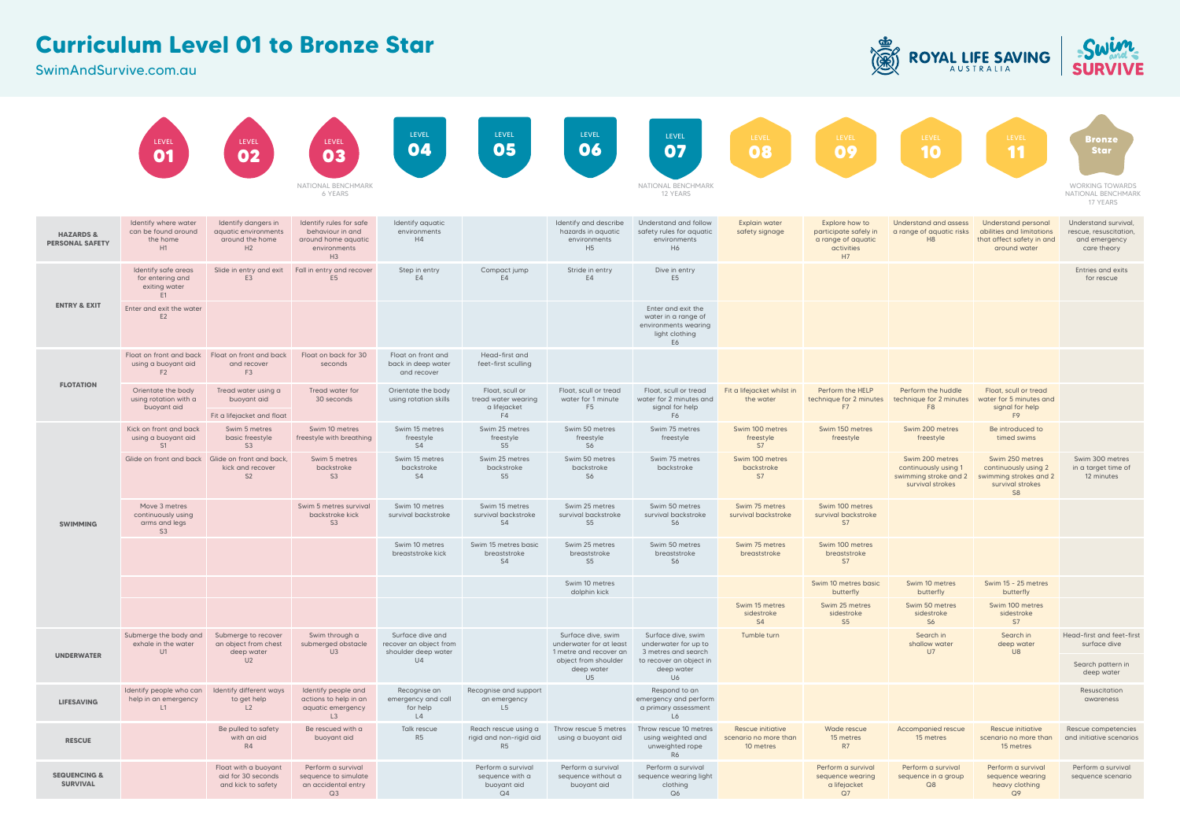## **Curriculum Level 01 to Bronze Star**

SwimAndSurvive.com.au